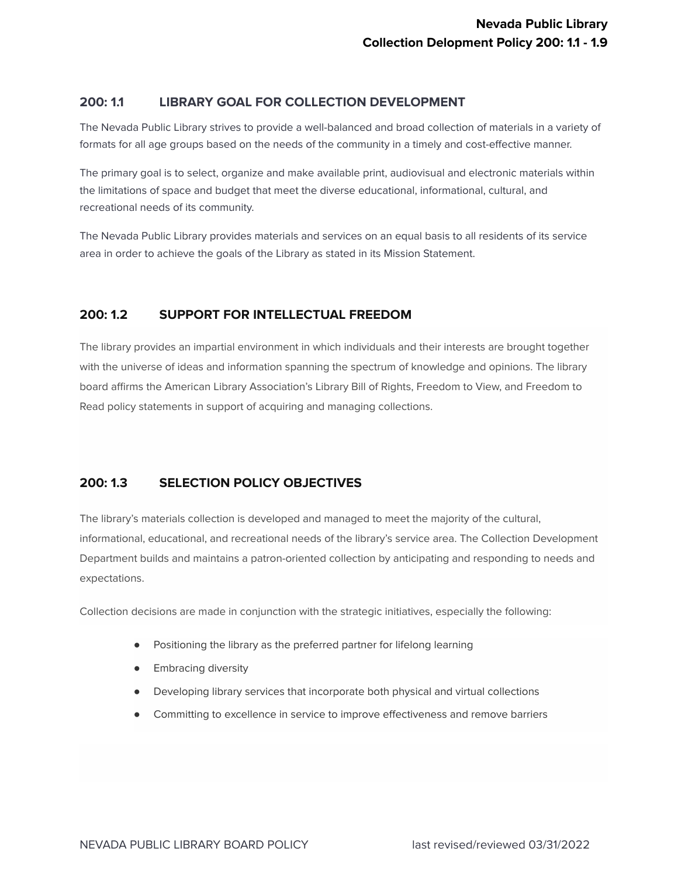## **200: 1.1 LIBRARY GOAL FOR COLLECTION DEVELOPMENT**

The Nevada Public Library strives to provide a well-balanced and broad collection of materials in a variety of formats for all age groups based on the needs of the community in a timely and cost-effective manner.

The primary goal is to select, organize and make available print, audiovisual and electronic materials within the limitations of space and budget that meet the diverse educational, informational, cultural, and recreational needs of its community.

The Nevada Public Library provides materials and services on an equal basis to all residents of its service area in order to achieve the goals of the Library as stated in its Mission Statement.

# **200: 1.2 SUPPORT FOR INTELLECTUAL FREEDOM**

The library provides an impartial environment in which individuals and their interests are brought together with the universe of ideas and information spanning the spectrum of knowledge and opinions. The library board affirms the American Library Association's Library Bill of Rights, Freedom to View, and Freedom to Read policy statements in support of acquiring and managing collections.

# **200: 1.3 SELECTION POLICY OBJECTIVES**

The library's materials collection is developed and managed to meet the majority of the cultural, informational, educational, and recreational needs of the library's service area. The Collection Development Department builds and maintains a patron-oriented collection by anticipating and responding to needs and expectations.

Collection decisions are made in conjunction with the strategic initiatives, especially the following:

- Positioning the library as the preferred partner for lifelong learning
- **Embracing diversity**
- Developing library services that incorporate both physical and virtual collections
- Committing to excellence in service to improve effectiveness and remove barriers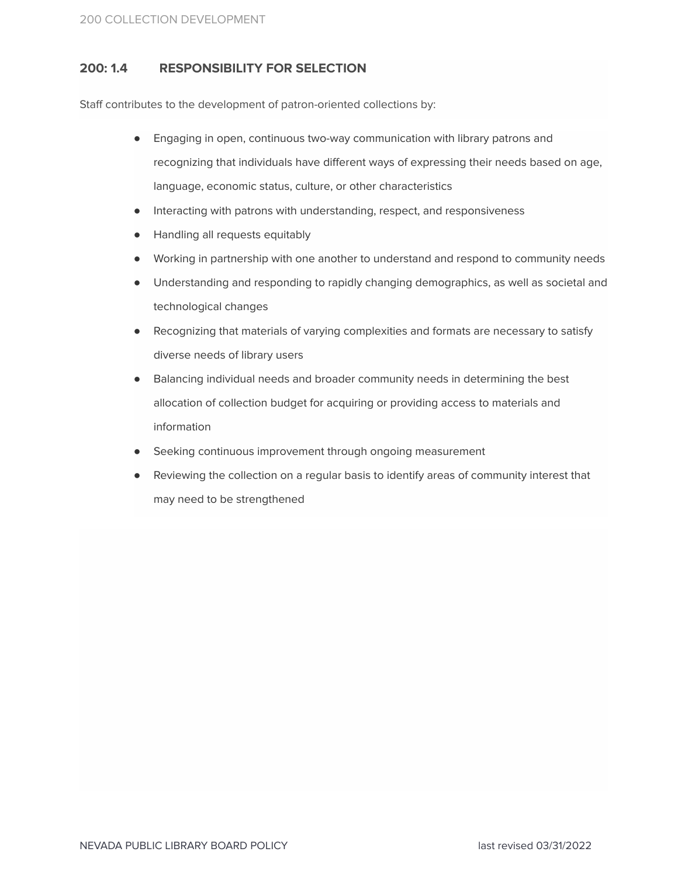# **200: 1.4 RESPONSIBILITY FOR SELECTION**

Staff contributes to the development of patron-oriented collections by:

- Engaging in open, continuous two-way communication with library patrons and recognizing that individuals have different ways of expressing their needs based on age, language, economic status, culture, or other characteristics
- Interacting with patrons with understanding, respect, and responsiveness
- Handling all requests equitably
- Working in partnership with one another to understand and respond to community needs
- Understanding and responding to rapidly changing demographics, as well as societal and technological changes
- Recognizing that materials of varying complexities and formats are necessary to satisfy diverse needs of library users
- Balancing individual needs and broader community needs in determining the best allocation of collection budget for acquiring or providing access to materials and information
- Seeking continuous improvement through ongoing measurement
- Reviewing the collection on a regular basis to identify areas of community interest that may need to be strengthened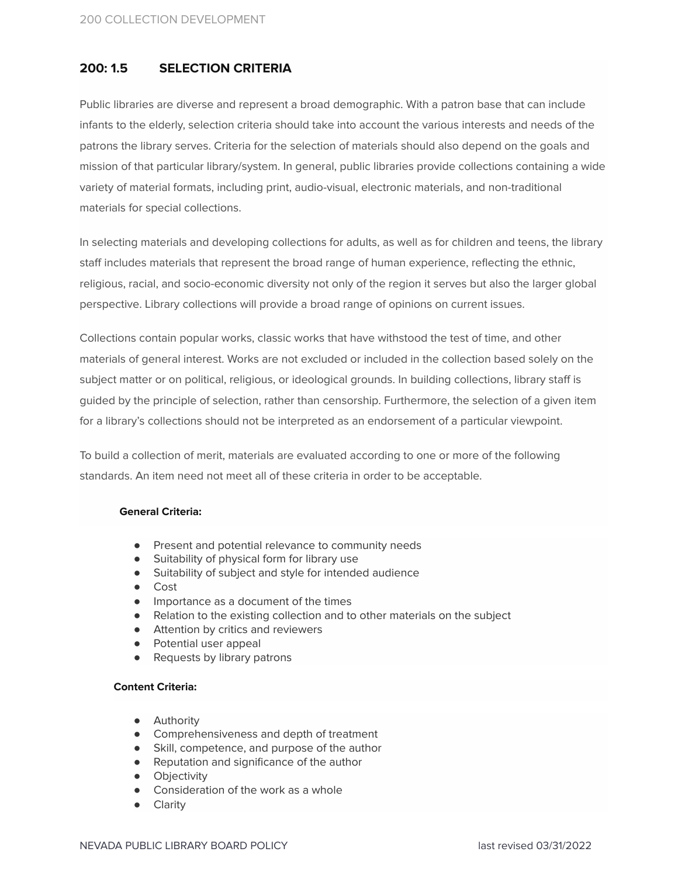# **200: 1.5 SELECTION CRITERIA**

Public libraries are diverse and represent a broad demographic. With a patron base that can include infants to the elderly, selection criteria should take into account the various interests and needs of the patrons the library serves. Criteria for the selection of materials should also depend on the goals and mission of that particular library/system. In general, public libraries provide collections containing a wide variety of material formats, including print, audio-visual, electronic materials, and non-traditional materials for special collections.

In selecting materials and developing collections for adults, as well as for children and teens, the library staff includes materials that represent the broad range of human experience, reflecting the ethnic, religious, racial, and socio-economic diversity not only of the region it serves but also the larger global perspective. Library collections will provide a broad range of opinions on current issues.

Collections contain popular works, classic works that have withstood the test of time, and other materials of general interest. Works are not excluded or included in the collection based solely on the subject matter or on political, religious, or ideological grounds. In building collections, library staff is guided by the principle of selection, rather than censorship. Furthermore, the selection of a given item for a library's collections should not be interpreted as an endorsement of a particular viewpoint.

To build a collection of merit, materials are evaluated according to one or more of the following standards. An item need not meet all of these criteria in order to be acceptable.

### **General Criteria:**

- Present and potential relevance to community needs
- Suitability of physical form for library use
- Suitability of subject and style for intended audience
- Cost
- Importance as a document of the times
- Relation to the existing collection and to other materials on the subject
- Attention by critics and reviewers
- Potential user appeal
- Requests by library patrons

### **Content Criteria:**

- **•** Authority
- Comprehensiveness and depth of treatment
- Skill, competence, and purpose of the author
- Reputation and significance of the author
- **•** Objectivity
- Consideration of the work as a whole
- Clarity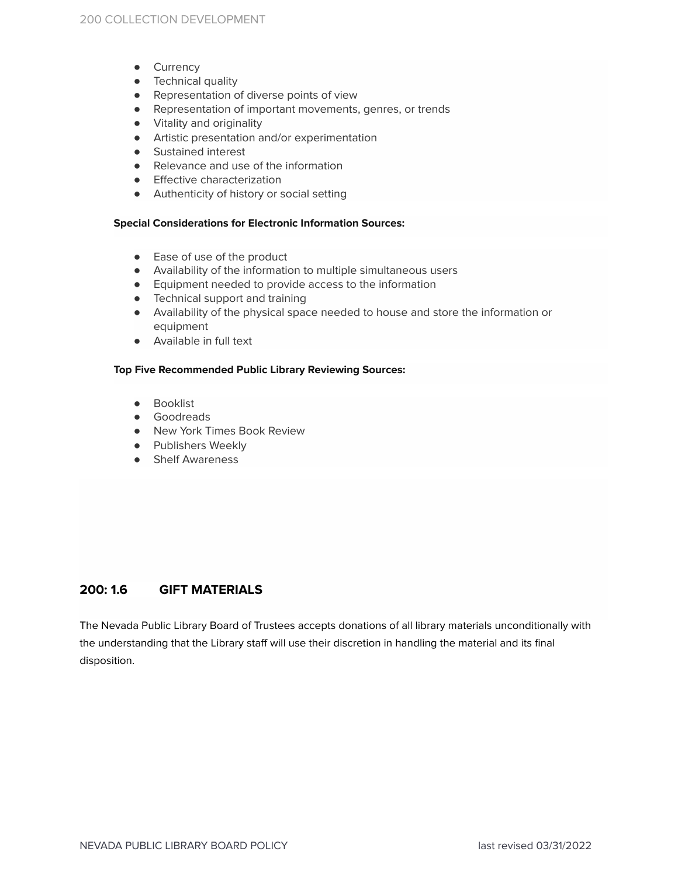- **•** Currency
- Technical quality
- Representation of diverse points of view
- Representation of important movements, genres, or trends
- Vitality and originality
- Artistic presentation and/or experimentation
- Sustained interest
- Relevance and use of the information
- Effective characterization
- Authenticity of history or social setting

### **Special Considerations for Electronic Information Sources:**

- Ease of use of the product
- Availability of the information to multiple simultaneous users
- Equipment needed to provide access to the information
- Technical support and training
- Availability of the physical space needed to house and store the information or equipment
- Available in full text

### **Top Five Recommended Public Library Reviewing Sources:**

- Booklist
- Goodreads
- New York Times Book Review
- Publishers Weekly
- Shelf Awareness

## **200: 1.6 GIFT MATERIALS**

The Nevada Public Library Board of Trustees accepts donations of all library materials unconditionally with the understanding that the Library staff will use their discretion in handling the material and its final disposition.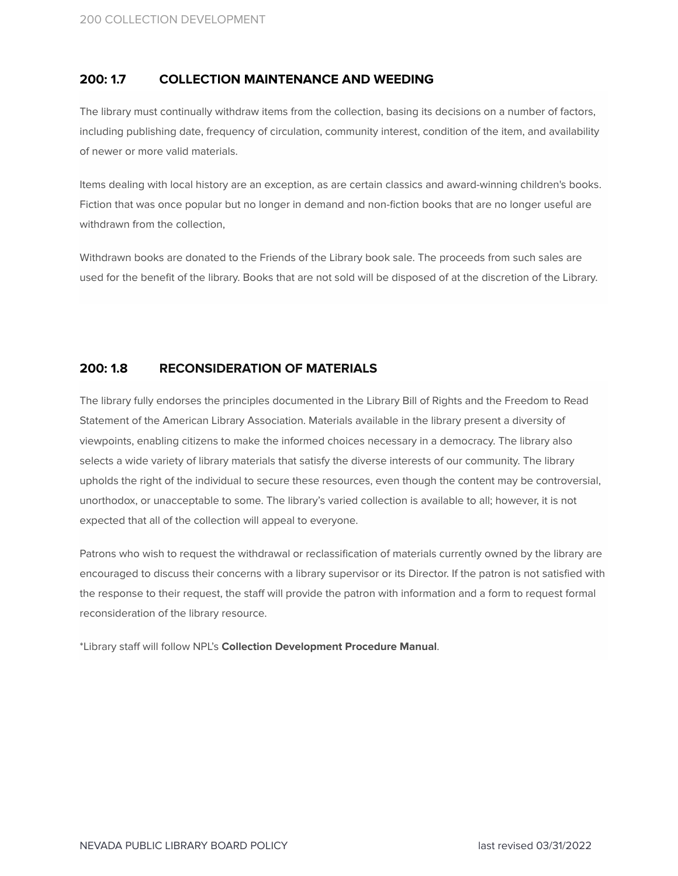## **200: 1.7 COLLECTION MAINTENANCE AND WEEDING**

The library must continually withdraw items from the collection, basing its decisions on a number of factors, including publishing date, frequency of circulation, community interest, condition of the item, and availability of newer or more valid materials.

Items dealing with local history are an exception, as are certain classics and award-winning children's books. Fiction that was once popular but no longer in demand and non-fiction books that are no longer useful are withdrawn from the collection,

Withdrawn books are donated to the Friends of the Library book sale. The proceeds from such sales are used for the benefit of the library. Books that are not sold will be disposed of at the discretion of the Library.

## **200: 1.8 RECONSIDERATION OF MATERIALS**

The library fully endorses the principles documented in the Library Bill of Rights and the Freedom to Read Statement of the American Library Association. Materials available in the library present a diversity of viewpoints, enabling citizens to make the informed choices necessary in a democracy. The library also selects a wide variety of library materials that satisfy the diverse interests of our community. The library upholds the right of the individual to secure these resources, even though the content may be controversial, unorthodox, or unacceptable to some. The library's varied collection is available to all; however, it is not expected that all of the collection will appeal to everyone.

Patrons who wish to request the withdrawal or reclassification of materials currently owned by the library are encouraged to discuss their concerns with a library supervisor or its Director. If the patron is not satisfied with the response to their request, the staff will provide the patron with information and a form to request formal reconsideration of the library resource.

\*Library staff will follow NPL's **Collection Development Procedure Manual**.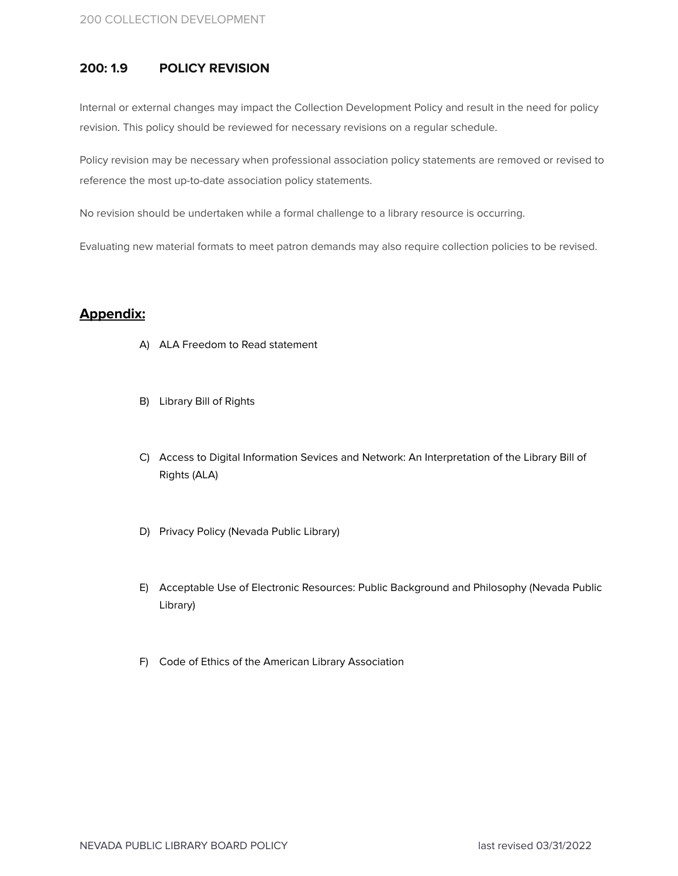## **200: 1.9 POLICY REVISION**

Internal or external changes may impact the Collection Development Policy and result in the need for policy revision. This policy should be reviewed for necessary revisions on a regular schedule.

Policy revision may be necessary when professional association policy statements are removed or revised to reference the most up-to-date association policy statements.

No revision should be undertaken while a formal challenge to a library resource is occurring.

Evaluating new material formats to meet patron demands may also require collection policies to be revised.

## **Appendix:**

- A) ALA Freedom to Read statement
- B) Library Bill of Rights
- C) Access to Digital Information Sevices and Network: An Interpretation of the Library Bill of Rights (ALA)
- D) Privacy Policy (Nevada Public Library)
- E) Acceptable Use of Electronic Resources: Public Background and Philosophy (Nevada Public Library)
- F) Code of Ethics of the American Library Association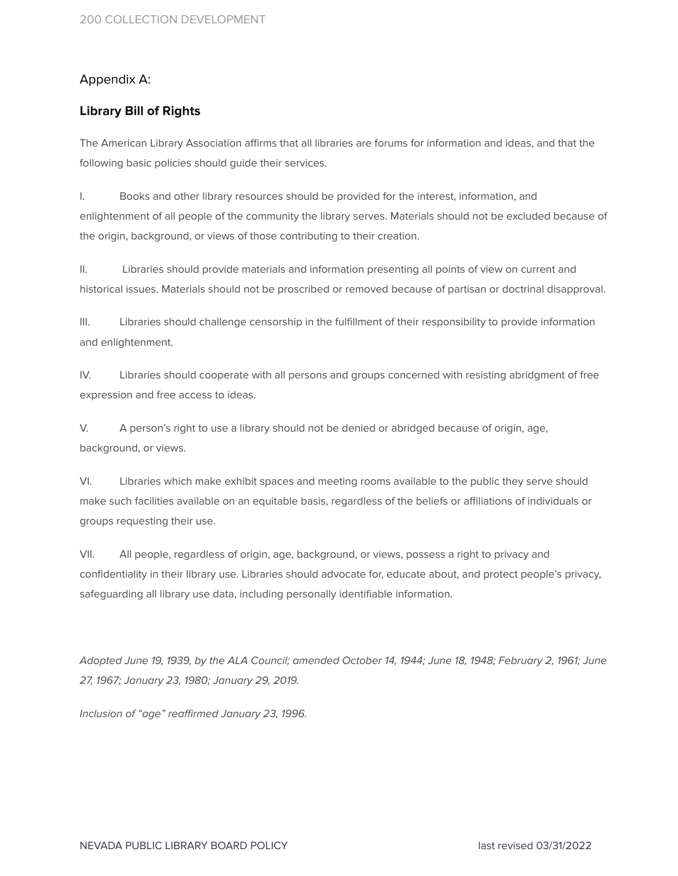# Appendix A:

# **Library Bill of Right[s](http://www.addthis.com/bookmark.php?v=152&source=men-152&lng=en&s=more&url=http%253A%252F%252Fwww.ala.org%252Fadvocacy%252Fintfreedom%252Flibrarybill&title=Library%2BBill%2Bof%2BRights%2B-%2BAdvocacy%2C%2BLegislation%2B%26%2BIssues#share)**

The American Library Association affirms that all libraries are forums for information and ideas, and that the following basic policies should guide their services.

I. Books and other library resources should be provided for the interest, information, and enlightenment of all people of the community the library serves. Materials should not be excluded because of the origin, background, or views of those contributing to their creation.

II. Libraries should provide materials and information presenting all points of view on current and historical issues. Materials should not be proscribed or removed because of partisan or doctrinal disapproval.

III. Libraries should challenge censorship in the fulfillment of their responsibility to provide information and enlightenment.

IV. Libraries should cooperate with all persons and groups concerned with resisting abridgment of free expression and free access to ideas.

V. A person's right to use a library should not be denied or abridged because of origin, age, background, or views.

VI. Libraries which make exhibit spaces and meeting rooms available to the public they serve should make such facilities available on an equitable basis, regardless of the beliefs or affiliations of individuals or groups requesting their use.

VII. All people, regardless of origin, age, background, or views, possess a right to privacy and confidentiality in their library use. Libraries should advocate for, educate about, and protect people's privacy, safeguarding all library use data, including personally identifiable information.

Adopted June 19, 1939, by the ALA Council; amended October 14, 1944; June 18, 1948; February 2, 1961; June 27, 1967; January 23, 1980; January 29, 2019.

Inclusion of "age" reaffirmed January 23, 1996.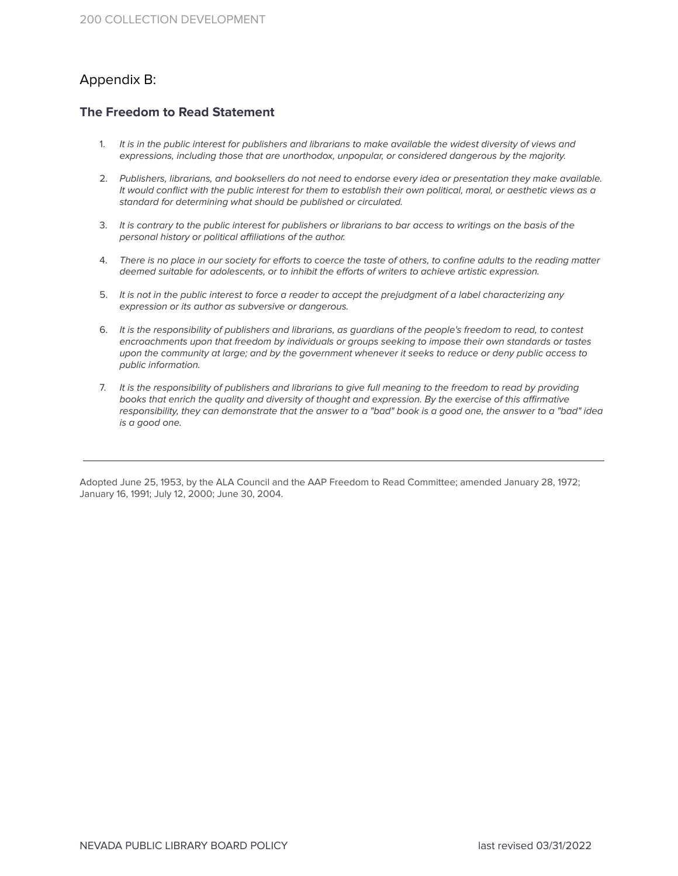# Appendix B:

## **The Freedom to Read Statement**

- 1. It is in the public interest for publishers and librarians to make available the widest diversity of views and expressions, including those that are unorthodox, unpopular, or considered dangerous by the majority.
- 2. Publishers, librarians, and booksellers do not need to endorse every idea or presentation they make available. It would conflict with the public interest for them to establish their own political, moral, or aesthetic views as a standard for determining what should be published or circulated.
- 3. It is contrary to the public interest for publishers or librarians to bar access to writings on the basis of the personal history or political affiliations of the author.
- 4. There is no place in our society for efforts to coerce the taste of others, to confine adults to the reading matter deemed suitable for adolescents, or to inhibit the efforts of writers to achieve artistic expression.
- 5. It is not in the public interest to force a reader to accept the prejudgment of a label characterizing any expression or its author as subversive or dangerous.
- 6. It is the responsibility of publishers and librarians, as guardians of the people's freedom to read, to contest encroachments upon that freedom by individuals or groups seeking to impose their own standards or tastes upon the community at large; and by the government whenever it seeks to reduce or deny public access to public information.
- 7. It is the responsibility of publishers and librarians to give full meaning to the freedom to read by providing books that enrich the quality and diversity of thought and expression. By the exercise of this affirmative responsibility, they can demonstrate that the answer to a "bad" book is a good one, the answer to a "bad" idea is a good one.

Adopted June 25, 1953, by the ALA Council and the AAP Freedom to Read Committee; amended January 28, 1972; January 16, 1991; July 12, 2000; June 30, 2004.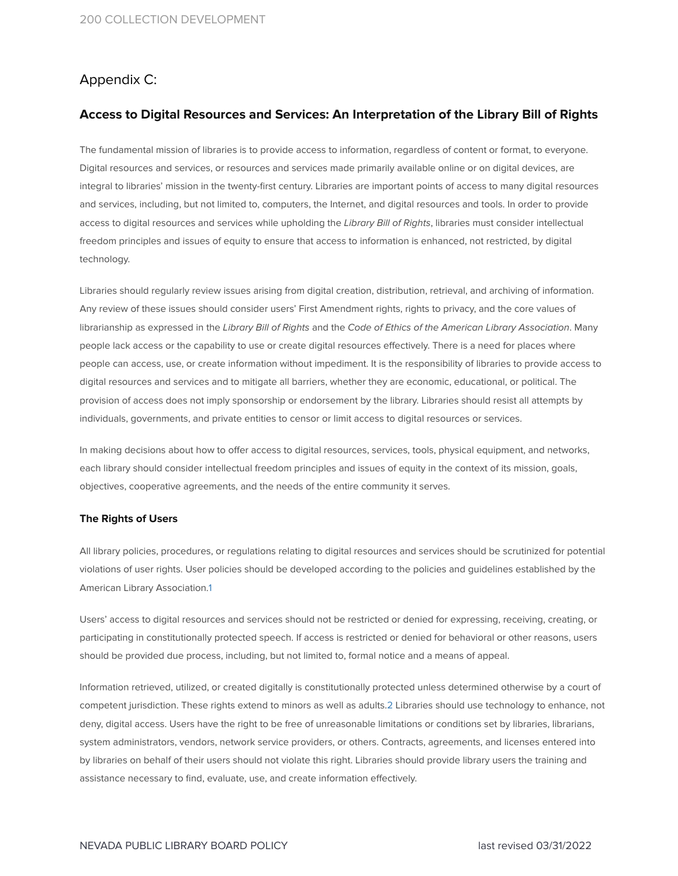# Appendix C:

## **Access to Digital Resources and Services: An Interpretation of the Library Bill of Rights**

The fundamental mission of libraries is to provide access to information, regardless of content or format, to everyone. Digital resources and services, or resources and services made primarily available online or on digital devices, are integral to libraries' mission in the twenty-first century. Libraries are important points of access to many digital resources and services, including, but not limited to, computers, the Internet, and digital resources and tools. In order to provide access to digital resources and services while upholding the Library Bill of Rights, libraries must consider intellectual freedom principles and issues of equity to ensure that access to information is enhanced, not restricted, by digital technology.

Libraries should regularly review issues arising from digital creation, distribution, retrieval, and archiving of information. Any review of these issues should consider users' First Amendment rights, rights to privacy, and the core values of librarianship as expressed in the Library Bill of Rights and the Code of Ethics of the American Library Association. Many people lack access or the capability to use or create digital resources effectively. There is a need for places where people can access, use, or create information without impediment. It is the responsibility of libraries to provide access to digital resources and services and to mitigate all barriers, whether they are economic, educational, or political. The provision of access does not imply sponsorship or endorsement by the library. Libraries should resist all attempts by individuals, governments, and private entities to censor or limit access to digital resources or services.

In making decisions about how to offer access to digital resources, services, tools, physical equipment, and networks, each library should consider intellectual freedom principles and issues of equity in the context of its mission, goals, objectives, cooperative agreements, and the needs of the entire community it serves.

#### **The Rights of Users**

All library policies, procedures, or regulations relating to digital resources and services should be scrutinized for potential violations of user rights. User policies should be developed according to the policies and guidelines established by the American Library Association[.1](https://www.ala.org/advocacy/intfreedom/librarybill/interpretations/digital#notes)

Users' access to digital resources and services should not be restricted or denied for expressing, receiving, creating, or participating in constitutionally protected speech. If access is restricted or denied for behavioral or other reasons, users should be provided due process, including, but not limited to, formal notice and a means of appeal.

Information retrieved, utilized, or created digitally is constitutionally protected unless determined otherwise by a court of competent jurisdiction. These rights extend to minors as well as adults.[2](https://www.ala.org/advocacy/intfreedom/librarybill/interpretations/digital#notes) Libraries should use technology to enhance, not deny, digital access. Users have the right to be free of unreasonable limitations or conditions set by libraries, librarians, system administrators, vendors, network service providers, or others. Contracts, agreements, and licenses entered into by libraries on behalf of their users should not violate this right. Libraries should provide library users the training and assistance necessary to find, evaluate, use, and create information effectively.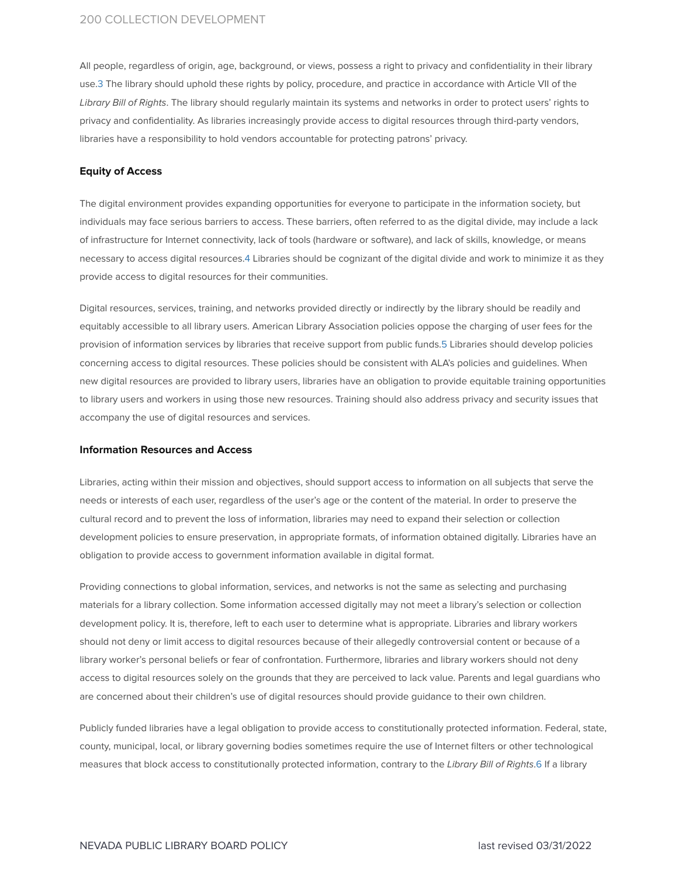All people, regardless of origin, age, background, or views, possess a right to privacy and confidentiality in their library use[.3](https://www.ala.org/advocacy/intfreedom/librarybill/interpretations/digital#notes) The library should uphold these rights by policy, procedure, and practice in accordance with Article VII of the Library Bill of Rights. The library should regularly maintain its systems and networks in order to protect users' rights to privacy and confidentiality. As libraries increasingly provide access to digital resources through third-party vendors, libraries have a responsibility to hold vendors accountable for protecting patrons' privacy.

#### **Equity of Access**

The digital environment provides expanding opportunities for everyone to participate in the information society, but individuals may face serious barriers to access. These barriers, often referred to as the digital divide, may include a lack of infrastructure for Internet connectivity, lack of tools (hardware or software), and lack of skills, knowledge, or means necessary to access digital resources[.4](https://www.ala.org/advocacy/intfreedom/librarybill/interpretations/digital#notes) Libraries should be cognizant of the digital divide and work to minimize it as they provide access to digital resources for their communities.

Digital resources, services, training, and networks provided directly or indirectly by the library should be readily and equitably accessible to all library users. American Library Association policies oppose the charging of user fees for the provision of information services by libraries that receive support from public funds.[5](https://www.ala.org/advocacy/intfreedom/librarybill/interpretations/digital#notes) Libraries should develop policies concerning access to digital resources. These policies should be consistent with ALA's policies and guidelines. When new digital resources are provided to library users, libraries have an obligation to provide equitable training opportunities to library users and workers in using those new resources. Training should also address privacy and security issues that accompany the use of digital resources and services.

#### **Information Resources and Access**

Libraries, acting within their mission and objectives, should support access to information on all subjects that serve the needs or interests of each user, regardless of the user's age or the content of the material. In order to preserve the cultural record and to prevent the loss of information, libraries may need to expand their selection or collection development policies to ensure preservation, in appropriate formats, of information obtained digitally. Libraries have an obligation to provide access to government information available in digital format.

Providing connections to global information, services, and networks is not the same as selecting and purchasing materials for a library collection. Some information accessed digitally may not meet a library's selection or collection development policy. It is, therefore, left to each user to determine what is appropriate. Libraries and library workers should not deny or limit access to digital resources because of their allegedly controversial content or because of a library worker's personal beliefs or fear of confrontation. Furthermore, libraries and library workers should not deny access to digital resources solely on the grounds that they are perceived to lack value. Parents and legal guardians who are concerned about their children's use of digital resources should provide guidance to their own children.

Publicly funded libraries have a legal obligation to provide access to constitutionally protected information. Federal, state, county, municipal, local, or library governing bodies sometimes require the use of Internet filters or other technological measures that block access to constitutionally protected information, contrary to the Library Bill of Rights[.6](https://www.ala.org/advocacy/intfreedom/librarybill/interpretations/digital#notes) If a library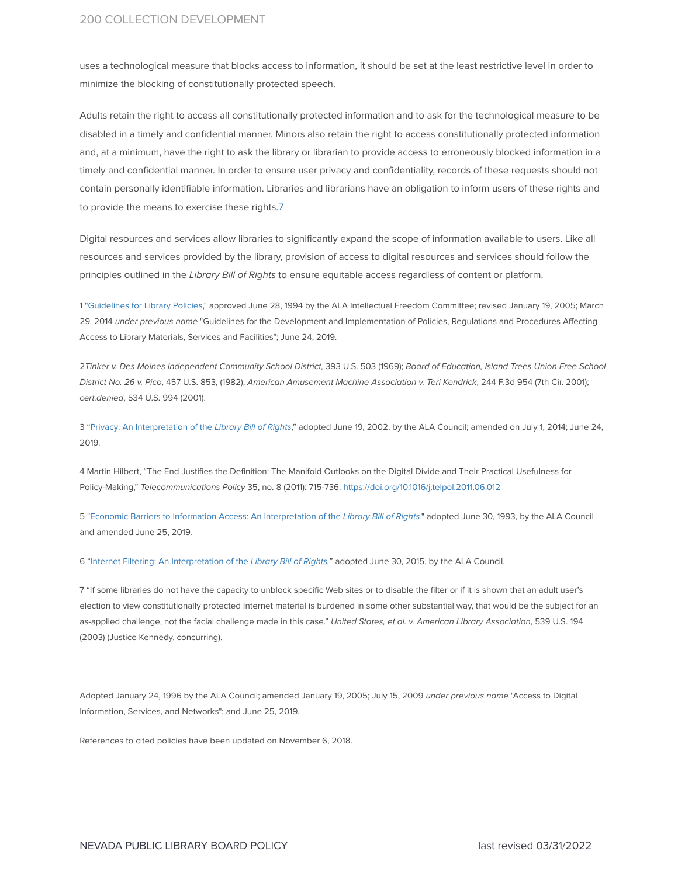uses a technological measure that blocks access to information, it should be set at the least restrictive level in order to minimize the blocking of constitutionally protected speech.

Adults retain the right to access all constitutionally protected information and to ask for the technological measure to be disabled in a timely and confidential manner. Minors also retain the right to access constitutionally protected information and, at a minimum, have the right to ask the library or librarian to provide access to erroneously blocked information in a timely and confidential manner. In order to ensure user privacy and confidentiality, records of these requests should not contain personally identifiable information. Libraries and librarians have an obligation to inform users of these rights and to provide the means to exercise these rights.[7](https://www.ala.org/advocacy/intfreedom/librarybill/interpretations/digital#notes)

Digital resources and services allow libraries to significantly expand the scope of information available to users. Like all resources and services provided by the library, provision of access to digital resources and services should follow the principles outlined in the Library Bill of Rights to ensure equitable access regardless of content or platform.

1 "[Guidelines](http://www.ala.org/advocacy/intfreedom/guidelinesforaccesspolicies) for Library Policies," approved June 28, 1994 by the ALA Intellectual Freedom Committee; revised January 19, 2005; March 29, 2014 under previous name "Guidelines for the Development and Implementation of Policies, Regulations and Procedures Affecting Access to Library Materials, Services and Facilities"; June 24, 2019.

2Tinker v. Des Moines Independent Community School District, 393 U.S. 503 (1969); Board of Education, Island Trees Union Free School District No. 26 v. Pico, 457 U.S. 853, (1982); American Amusement Machine Association v. Teri Kendrick, 244 F.3d 954 (7th Cir. 2001); cert.denied, 534 U.S. 994 (2001).

3 "Privacy: An [Interpretation](http://www.ala.org/advocacy/intfreedom/librarybill/interpretations/privacy) of the Library Bill of Rights," adopted June 19, 2002, by the ALA Council; amended on July 1, 2014; June 24, 2019.

4 Martin Hilbert, "The End Justifies the Definition: The Manifold Outlooks on the Digital Divide and Their Practical Usefulness for Policy-Making," Telecommunications Policy 35, no. 8 (2011): 715-736. <https://doi.org/10.1016/j.telpol.2011.06.012>

5 "Economic Barriers to Information Access: An [Interpretation](http://www.ala.org/advocacy/intfreedom/librarybill/interpretations/economicbarriers) of the Library Bill of Rights," adopted June 30, 1993, by the ALA Council and amended June 25, 2019.

6 "Internet Filtering: An [Interpretation](http://www.ala.org/advocacy/intfreedom/librarybill/interpretations/internet-filtering) of the Library Bill of Rights," adopted June 30, 2015, by the ALA Council.

7 "If some libraries do not have the capacity to unblock specific Web sites or to disable the filter or if it is shown that an adult user's election to view constitutionally protected Internet material is burdened in some other substantial way, that would be the subject for an as-applied challenge, not the facial challenge made in this case." United States, et al. v. American Library Association, 539 U.S. 194 (2003) (Justice Kennedy, concurring).

Adopted January 24, 1996 by the ALA Council; amended January 19, 2005; July 15, 2009 under previous name "Access to Digital Information, Services, and Networks"; and June 25, 2019.

References to cited policies have been updated on November 6, 2018.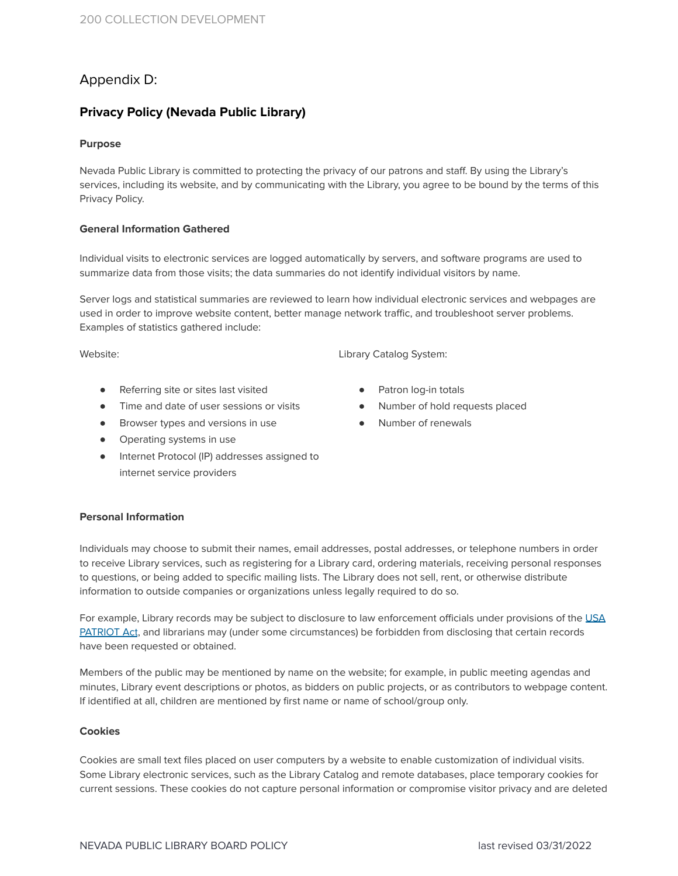# Appendix D:

# **Privacy Policy (Nevada Public Library)**

## **Purpose**

Nevada Public Library is committed to protecting the privacy of our patrons and staff. By using the Library's services, including its website, and by communicating with the Library, you agree to be bound by the terms of this Privacy Policy.

### **General Information Gathered**

Individual visits to electronic services are logged automatically by servers, and software programs are used to summarize data from those visits; the data summaries do not identify individual visitors by name.

Server logs and statistical summaries are reviewed to learn how individual electronic services and webpages are used in order to improve website content, better manage network traffic, and troubleshoot server problems. Examples of statistics gathered include:

Website:

Library Catalog System:

- Referring site or sites last visited
- Time and date of user sessions or visits
- Browser types and versions in use
- Operating systems in use
- Internet Protocol (IP) addresses assigned to internet service providers

- Patron log-in totals
- Number of hold requests placed
- Number of renewals

## **Personal Information**

Individuals may choose to submit their names, email addresses, postal addresses, or telephone numbers in order to receive Library services, such as registering for a Library card, ordering materials, receiving personal responses to questions, or being added to specific mailing lists. The Library does not sell, rent, or otherwise distribute information to outside companies or organizations unless legally required to do so.

For example, Library records may be subject to disclosure to law enforcement officials under provisions of the [USA](https://www.justice.gov/archive/ll/highlights.htm) [PATRIOT](https://www.justice.gov/archive/ll/highlights.htm) Act, and librarians may (under some circumstances) be forbidden from disclosing that certain records have been requested or obtained.

Members of the public may be mentioned by name on the website; for example, in public meeting agendas and minutes, Library event descriptions or photos, as bidders on public projects, or as contributors to webpage content. If identified at all, children are mentioned by first name or name of school/group only.

### **Cookies**

Cookies are small text files placed on user computers by a website to enable customization of individual visits. Some Library electronic services, such as the Library Catalog and remote databases, place temporary cookies for current sessions. These cookies do not capture personal information or compromise visitor privacy and are deleted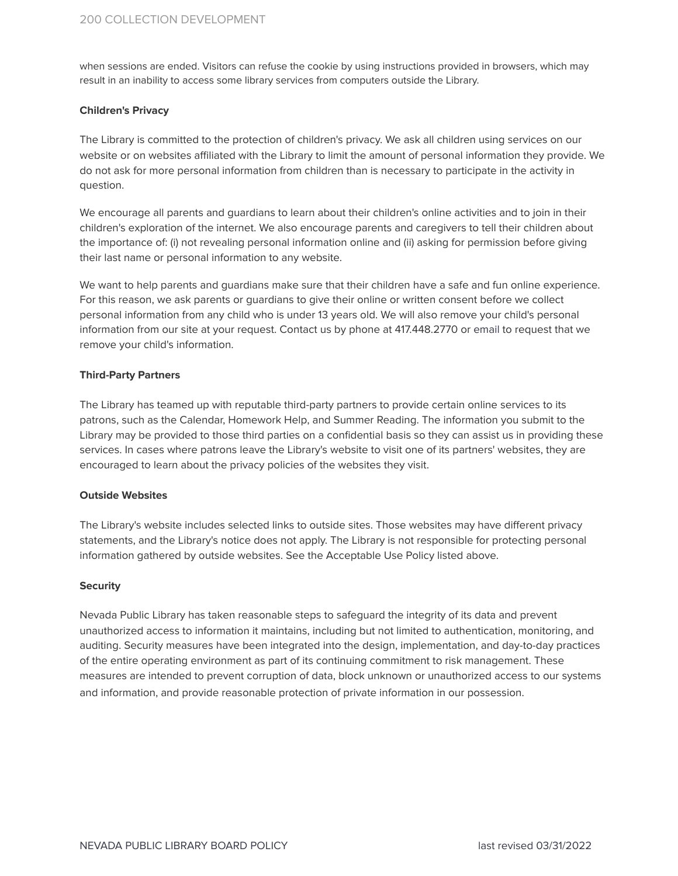when sessions are ended. Visitors can refuse the cookie by using instructions provided in browsers, which may result in an inability to access some library services from computers outside the Library.

#### **Children's Privacy**

The Library is committed to the protection of children's privacy. We ask all children using services on our website or on websites affiliated with the Library to limit the amount of personal information they provide. We do not ask for more personal information from children than is necessary to participate in the activity in question.

We encourage all parents and guardians to learn about their children's online activities and to join in their children's exploration of the internet. We also encourage parents and caregivers to tell their children about the importance of: (i) not revealing personal information online and (ii) asking for permission before giving their last name or personal information to any website.

We want to help parents and quardians make sure that their children have a safe and fun online experience. For this reason, we ask parents or guardians to give their online or written consent before we collect personal information from any child who is under 13 years old. We will also remove your child's personal information from our site at your request. Contact us by phone at 417.448.2770 or email to request that we remove your child's information.

#### **Third-Party Partners**

The Library has teamed up with reputable third-party partners to provide certain online services to its patrons, such as the Calendar, Homework Help, and Summer Reading. The information you submit to the Library may be provided to those third parties on a confidential basis so they can assist us in providing these services. In cases where patrons leave the Library's website to visit one of its partners' websites, they are encouraged to learn about the privacy policies of the websites they visit.

### **Outside Websites**

The Library's website includes selected links to outside sites. Those websites may have different privacy statements, and the Library's notice does not apply. The Library is not responsible for protecting personal information gathered by outside websites. See the Acceptable Use Policy listed above.

#### **Security**

Nevada Public Library has taken reasonable steps to safeguard the integrity of its data and prevent unauthorized access to information it maintains, including but not limited to authentication, monitoring, and auditing. Security measures have been integrated into the design, implementation, and day-to-day practices of the entire operating environment as part of its continuing commitment to risk management. These measures are intended to prevent corruption of data, block unknown or unauthorized access to our systems and information, and provide reasonable protection of private information in our possession.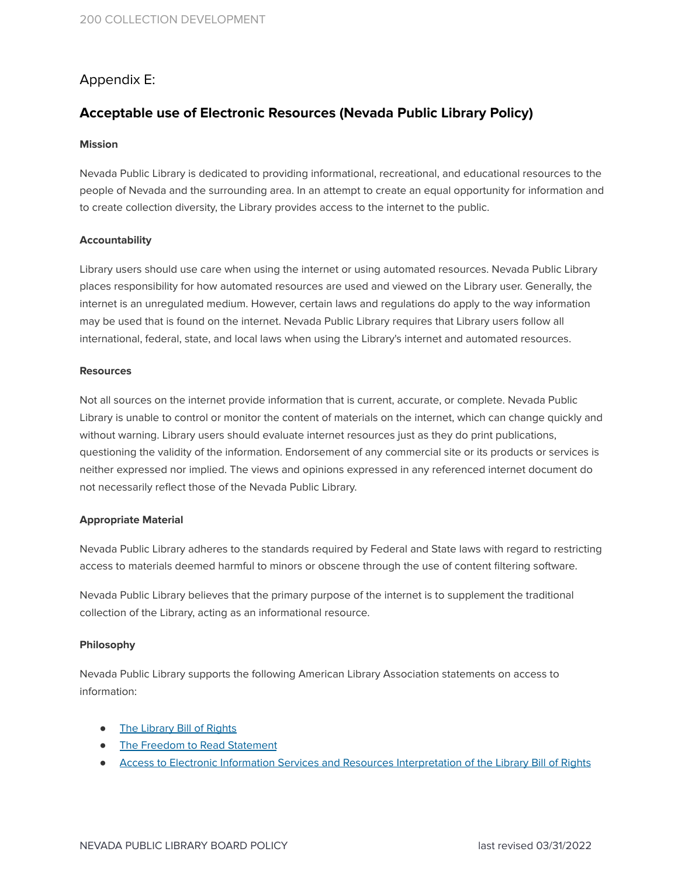# Appendix E:

# **Acceptable use of Electronic Resources (Nevada Public Library Policy)**

## **Mission**

Nevada Public Library is dedicated to providing informational, recreational, and educational resources to the people of Nevada and the surrounding area. In an attempt to create an equal opportunity for information and to create collection diversity, the Library provides access to the internet to the public.

## **Accountability**

Library users should use care when using the internet or using automated resources. Nevada Public Library places responsibility for how automated resources are used and viewed on the Library user. Generally, the internet is an unregulated medium. However, certain laws and regulations do apply to the way information may be used that is found on the internet. Nevada Public Library requires that Library users follow all international, federal, state, and local laws when using the Library's internet and automated resources.

### **Resources**

Not all sources on the internet provide information that is current, accurate, or complete. Nevada Public Library is unable to control or monitor the content of materials on the internet, which can change quickly and without warning. Library users should evaluate internet resources just as they do print publications, questioning the validity of the information. Endorsement of any commercial site or its products or services is neither expressed nor implied. The views and opinions expressed in any referenced internet document do not necessarily reflect those of the Nevada Public Library.

## **Appropriate Material**

Nevada Public Library adheres to the standards required by Federal and State laws with regard to restricting access to materials deemed harmful to minors or obscene through the use of content filtering software.

Nevada Public Library believes that the primary purpose of the internet is to supplement the traditional collection of the Library, acting as an informational resource.

## **Philosophy**

Nevada Public Library supports the following American Library Association statements on access to information:

- The [Library](http://www.ala.org/advocacy/intfreedom/librarybill) Bill of Rights
- The Freedom to Read [Statement](http://www.ala.org/advocacy/intfreedom/statementspols/freedomreadstatement)
- Access to Electronic Information Services and Resources [Interpretation](http://www.ala.org/Template.cfm?section=interpretations&Template=/ContentManagement/ContentDisplay.cfm&ContentID=31872) of the Library Bill of Rights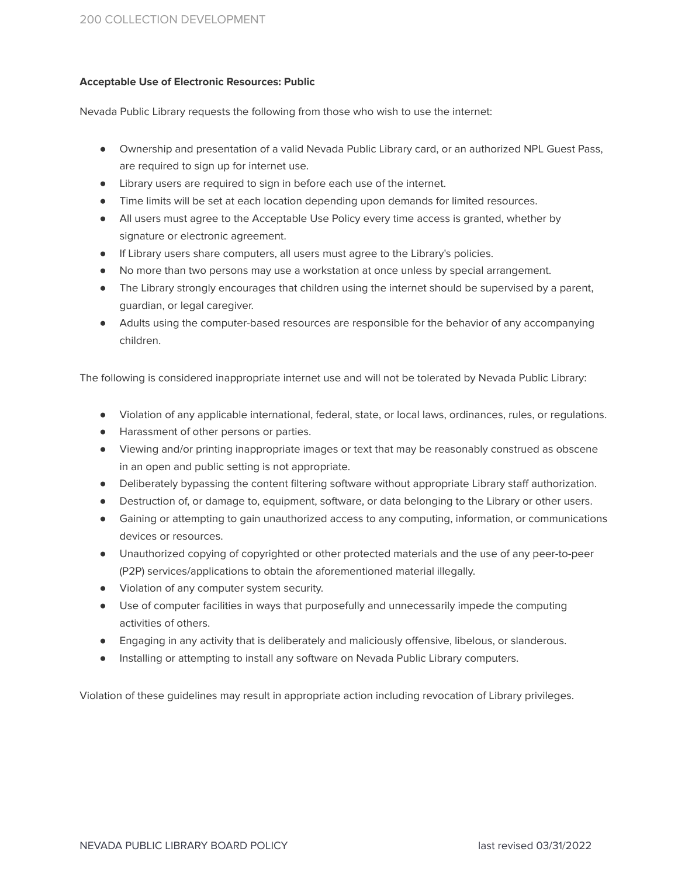## **Acceptable Use of Electronic Resources: Public**

Nevada Public Library requests the following from those who wish to use the internet:

- Ownership and presentation of a valid Nevada Public Library card, or an authorized NPL Guest Pass, are required to sign up for internet use.
- Library users are required to sign in before each use of the internet.
- Time limits will be set at each location depending upon demands for limited resources.
- All users must agree to the Acceptable Use Policy every time access is granted, whether by signature or electronic agreement.
- If Library users share computers, all users must agree to the Library's policies.
- No more than two persons may use a workstation at once unless by special arrangement.
- The Library strongly encourages that children using the internet should be supervised by a parent, guardian, or legal caregiver.
- Adults using the computer-based resources are responsible for the behavior of any accompanying children.

The following is considered inappropriate internet use and will not be tolerated by Nevada Public Library:

- Violation of any applicable international, federal, state, or local laws, ordinances, rules, or regulations.
- Harassment of other persons or parties.
- Viewing and/or printing inappropriate images or text that may be reasonably construed as obscene in an open and public setting is not appropriate.
- Deliberately bypassing the content filtering software without appropriate Library staff authorization.
- Destruction of, or damage to, equipment, software, or data belonging to the Library or other users.
- Gaining or attempting to gain unauthorized access to any computing, information, or communications devices or resources.
- Unauthorized copying of copyrighted or other protected materials and the use of any peer-to-peer (P2P) services/applications to obtain the aforementioned material illegally.
- Violation of any computer system security.
- Use of computer facilities in ways that purposefully and unnecessarily impede the computing activities of others.
- Engaging in any activity that is deliberately and maliciously offensive, libelous, or slanderous.
- Installing or attempting to install any software on Nevada Public Library computers.

Violation of these guidelines may result in appropriate action including revocation of Library privileges.